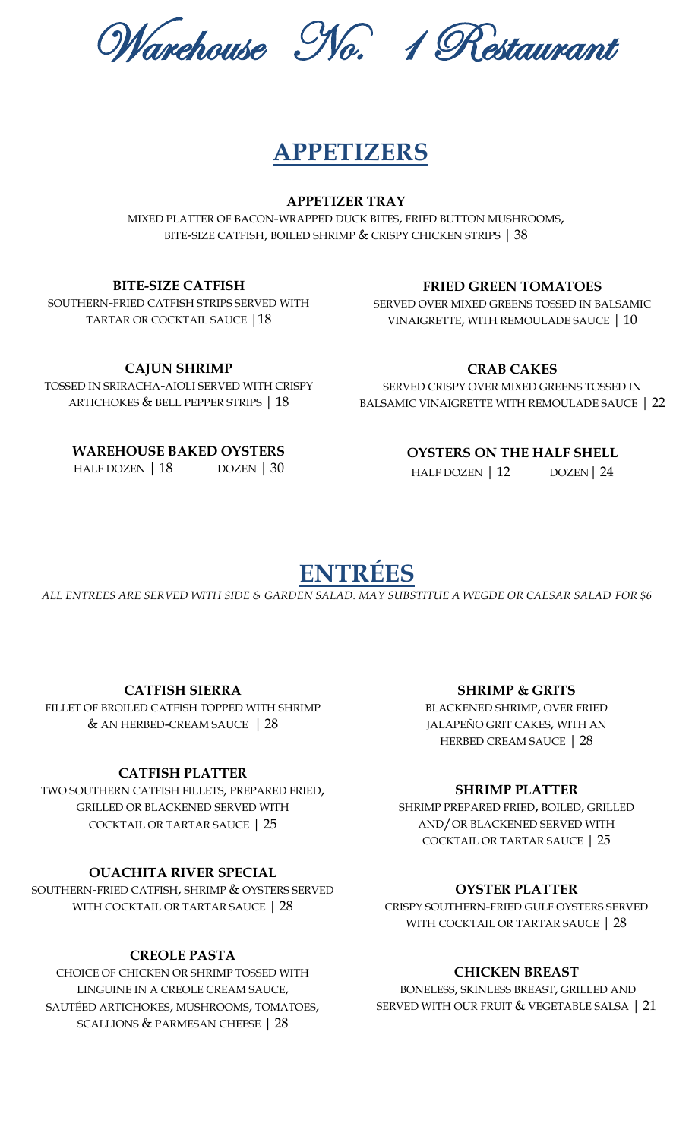Warehouse No. 1 Restaurant

# **APPETIZERS**

**APPETIZER TRAY**

MIXED PLATTER OF BACON-WRAPPED DUCK BITES, FRIED BUTTON MUSHROOMS, BITE-SIZE CATFISH, BOILED SHRIMP & CRISPY CHICKEN STRIPS | 38

#### **BITE-SIZE CATFISH**

SOUTHERN-FRIED CATFISH STRIPS SERVED WITH TARTAR OR COCKTAIL SAUCE |18

## **FRIED GREEN TOMATOES**

SERVED OVER MIXED GREENS TOSSED IN BALSAMIC VINAIGRETTE, WITH REMOULADE SAUCE | 10

**CAJUN SHRIMP**

TOSSED IN SRIRACHA-AIOLI SERVED WITH CRISPY ARTICHOKES & BELL PEPPER STRIPS | 18

## **CRAB CAKES**

SERVED CRISPY OVER MIXED GREENS TOSSED IN BALSAMIC VINAIGRETTE WITH REMOULADE SAUCE | 22

# **WAREHOUSE BAKED OYSTERS**

HALF DOZEN | 18 DOZEN | 30

## **OYSTERS ON THE HALF SHELL**

HALF DOZEN | 12 DOZEN | 24

# **ENTRÉES**

*ALL ENTREES ARE SERVED WITH SIDE & GARDEN SALAD. MAY SUBSTITUE A WEGDE OR CAESAR SALAD FOR \$6*

### **CATFISH SIERRA**

FILLET OF BROILED CATFISH TOPPED WITH SHRIMP & AN HERBED-CREAM SAUCE | 28

## **CATFISH PLATTER**

 TWO SOUTHERN CATFISH FILLETS, PREPARED FRIED, GRILLED OR BLACKENED SERVED WITH COCKTAIL OR TARTAR SAUCE | 25

### **OUACHITA RIVER SPECIAL**

 SOUTHERN-FRIED CATFISH, SHRIMP & OYSTERS SERVED WITH COCKTAIL OR TARTAR SAUCE | 28

## **CREOLE PASTA**

CHOICE OF CHICKEN OR SHRIMP TOSSED WITH LINGUINE IN A CREOLE CREAM SAUCE, SAUTÉED ARTICHOKES, MUSHROOMS, TOMATOES, SCALLIONS & PARMESAN CHEESE | 28

#### **SHRIMP & GRITS**

BLACKENED SHRIMP, OVER FRIED JALAPEÑO GRIT CAKES, WITH AN HERBED CREAM SAUCE | 28

### **SHRIMP PLATTER**

SHRIMP PREPARED FRIED, BOILED, GRILLED AND/OR BLACKENED SERVED WITH COCKTAIL OR TARTAR SAUCE | 25

### **OYSTER PLATTER**

CRISPY SOUTHERN-FRIED GULF OYSTERS SERVED WITH COCKTAIL OR TARTAR SAUCE | 28

### **CHICKEN BREAST**

BONELESS, SKINLESS BREAST, GRILLED AND SERVED WITH OUR FRUIT & VEGETABLE SALSA | 21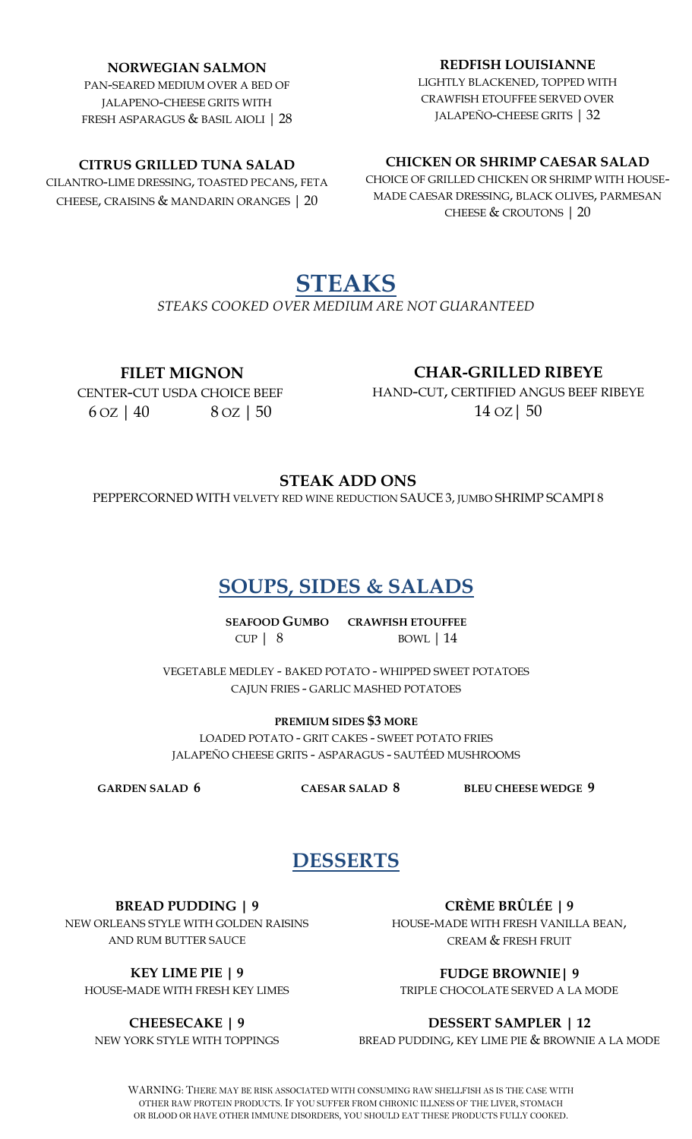#### **NORWEGIAN SALMON**

PAN-SEARED MEDIUM OVER A BED OF JALAPENO-CHEESE GRITS WITH FRESH ASPARAGUS & BASIL AIOLI | 28

#### **CITRUS GRILLED TUNA SALAD**

CILANTRO-LIME DRESSING, TOASTED PECANS, FETA CHEESE, CRAISINS & MANDARIN ORANGES | 20

#### **REDFISH LOUISIANNE**

LIGHTLY BLACKENED, TOPPED WITH CRAWFISH ETOUFFEE SERVED OVER JALAPEÑO-CHEESE GRITS | 32

#### **CHICKEN OR SHRIMP CAESAR SALAD**

CHOICE OF GRILLED CHICKEN OR SHRIMP WITH HOUSE-MADE CAESAR DRESSING, BLACK OLIVES, PARMESAN CHEESE & CROUTONS | 20

# **STEAKS**

J  $\overline{1}$ *STEAKS COOKED OVER MEDIUM ARE NOT GUARANTEED* 

# **FILET MIGNON**

**CHAR-GRILLED RIBEYE**

CENTER-CUT USDA CHOICE BEEF  $6 \text{ oz}$  | 40  $8 \text{ oz}$  | 50

# HAND-CUT, CERTIFIED ANGUS BEEF RIBEYE 14 OZ| 50

# **STEAK ADD ONS**

PEPPERCORNED WITH VELVETY RED WINE REDUCTION SAUCE 3, JUMBO SHRIMP SCAMPI 8

# **SOUPS, SIDES & SALADS**

**SEAFOOD GUMBO CRAWFISH ETOUFFEE** CUP | 8 BOWL | 14 l

VEGETABLE MEDLEY - BAKED POTATO - WHIPPED SWEET POTATOES CAJUN FRIES - GARLIC MASHED POTATOES

**PREMIUM SIDES \$3 MORE** LOADED POTATO - GRIT CAKES - SWEET POTATO FRIES JALAPEÑO CHEESE GRITS - ASPARAGUS - SAUTÉED MUSHROOMS

**GARDEN SALAD 6 CAESAR SALAD 8 BLEU CHEESE WEDGE 9**

# **DESSERTS**

**BREAD PUDDING | 9**

NEW ORLEANS STYLE WITH GOLDEN RAISINS AND RUM BUTTER SAUCE

**KEY LIME PIE | 9** HOUSE-MADE WITH FRESH KEY LIMES

**CHEESECAKE | 9** NEW YORK STYLE WITH TOPPINGS

**CRÈME BRÛLÉE | 9** HOUSE-MADE WITH FRESH VANILLA BEAN, CREAM & FRESH FRUIT

**FUDGE BROWNIE| 9**

TRIPLE CHOCOLATE SERVED A LA MODE

#### **DESSERT SAMPLER | 12**

BREAD PUDDING, KEY LIME PIE & BROWNIE A LA MODE

WARNING: THERE MAY BE RISK ASSOCIATED WITH CONSUMING RAW SHELLFISH AS IS THE CASE WITH OTHER RAW PROTEIN PRODUCTS. IF YOU SUFFER FROM CHRONIC ILLNESS OF THE LIVER, STOMACH OR BLOOD OR HAVE OTHER IMMUNE DISORDERS, YOU SHOULD EAT THESE PRODUCTS FULLY COOKED.